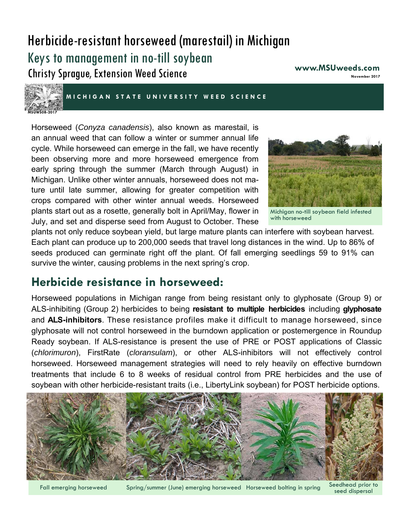# Herbicide-resistant horseweed (marestail) in Michigan Keys to management in no-till soybean Christy Sprague, Extension Weed Science

**www.MSUweeds.com November 2017** 



**MICHIGAN STATE UNIVER SITY WEED SCIENCE** 

Horseweed (*Conyza canadensis*), also known as marestail, is an annual weed that can follow a winter or summer annual life cycle. While horseweed can emerge in the fall, we have recently been observing more and more horseweed emergence from early spring through the summer (March through August) in Michigan. Unlike other winter annuals, horseweed does not mature until late summer, allowing for greater competition with crops compared with other winter annual weeds. Horseweed plants start out as a rosette, generally bolt in April/May, flower in July, and set and disperse seed from August to October. These



Michigan no-till soybean field infested with horseweed

plants not only reduce soybean yield, but large mature plants can interfere with soybean harvest. Each plant can produce up to 200,000 seeds that travel long distances in the wind. Up to 86% of seeds produced can germinate right off the plant. Of fall emerging seedlings 59 to 91% can survive the winter, causing problems in the next spring's crop.

## **Herbicide resistance in horseweed:**

Horseweed populations in Michigan range from being resistant only to glyphosate (Group 9) or ALS-inhibiting (Group 2) herbicides to being **resistant to multiple herbicides** including **glyphosate**  and **ALS-inhibitors**. These resistance profiles make it difficult to manage horseweed, since glyphosate will not control horseweed in the burndown application or postemergence in Roundup Ready soybean. If ALS-resistance is present the use of PRE or POST applications of Classic (*chlorimuron*), FirstRate (*cloransulam*), or other ALS-inhibitors will not effectively control horseweed. Horseweed management strategies will need to rely heavily on effective burndown treatments that include 6 to 8 weeks of residual control from PRE herbicides and the use of soybean with other herbicide-resistant traits (i.e., LibertyLink soybean) for POST herbicide options.



Fall emerging horseweed Spring/summer (June) emerging horseweed Horseweed bolting in spring Seedhead prior to

seed dispersal